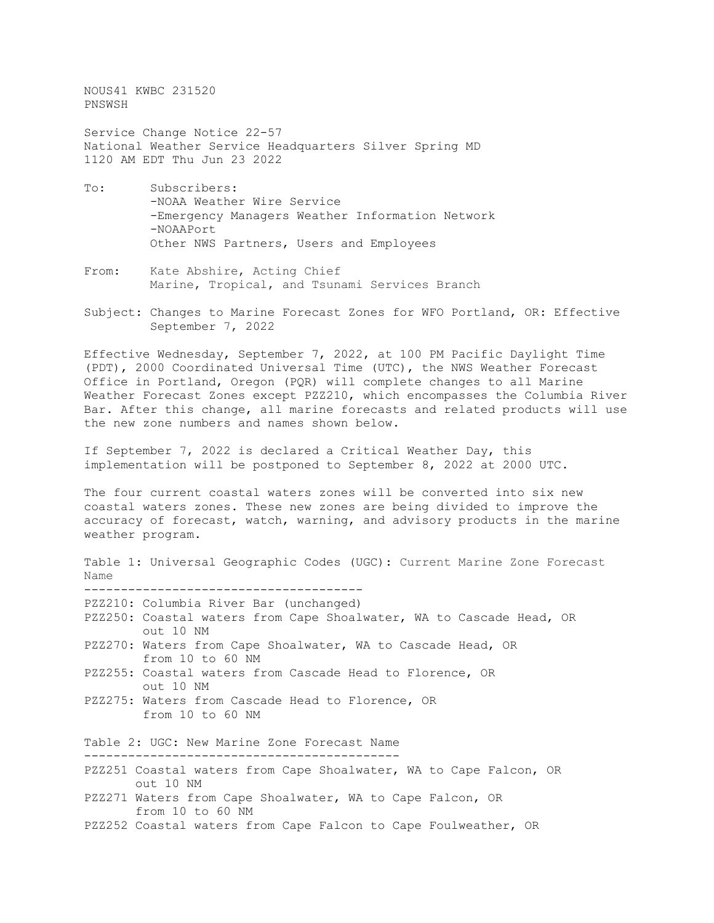NOUS41 KWBC 231520 PNSWSH

Service Change Notice 22-57 National Weather Service Headquarters Silver Spring MD 1120 AM EDT Thu Jun 23 2022

- To: Subscribers: -NOAA Weather Wire Service -Emergency Managers Weather Information Network -NOAAPort Other NWS Partners, Users and Employees
- From: Kate Abshire, Acting Chief Marine, Tropical, and Tsunami Services Branch
- Subject: Changes to Marine Forecast Zones for WFO Portland, OR: Effective September 7, 2022

Effective Wednesday, September 7, 2022, at 100 PM Pacific Daylight Time (PDT), 2000 Coordinated Universal Time (UTC), the NWS Weather Forecast Office in Portland, Oregon (PQR) will complete changes to all Marine Weather Forecast Zones except PZZ210, which encompasses the Columbia River Bar. After this change, all marine forecasts and related products will use the new zone numbers and names shown below.

If September 7, 2022 is declared a Critical Weather Day, this implementation will be postponed to September 8, 2022 at 2000 UTC.

The four current coastal waters zones will be converted into six new coastal waters zones. These new zones are being divided to improve the accuracy of forecast, watch, warning, and advisory products in the marine weather program.

Table 1: Universal Geographic Codes (UGC): Current Marine Zone Forecast Name -------------------------------------- PZZ210: Columbia River Bar (unchanged) PZZ250: Coastal waters from Cape Shoalwater, WA to Cascade Head, OR out 10 NM PZZ270: Waters from Cape Shoalwater, WA to Cascade Head, OR from 10 to 60 NM PZZ255: Coastal waters from Cascade Head to Florence, OR out 10 NM PZZ275: Waters from Cascade Head to Florence, OR from 10 to 60 NM Table 2: UGC: New Marine Zone Forecast Name ------------------------------------------- PZZ251 Coastal waters from Cape Shoalwater, WA to Cape Falcon, OR out 10 NM PZZ271 Waters from Cape Shoalwater, WA to Cape Falcon, OR from 10 to 60 NM

PZZ252 Coastal waters from Cape Falcon to Cape Foulweather, OR